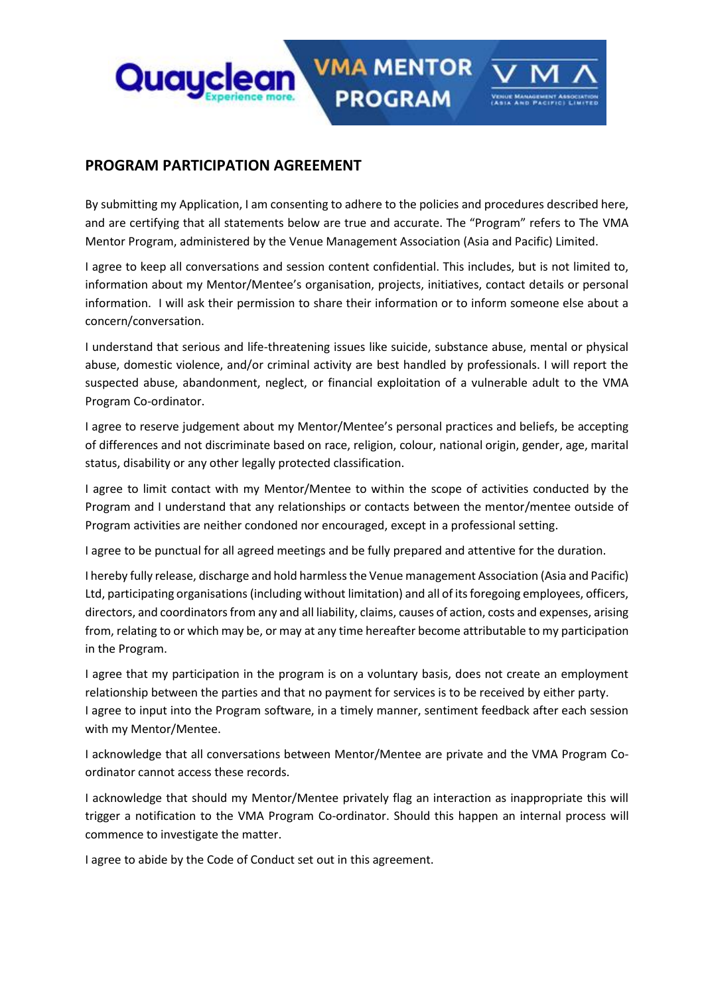

## **PROGRAM PARTICIPATION AGREEMENT**

By submitting my Application, I am consenting to adhere to the policies and procedures described here, and are certifying that all statements below are true and accurate. The "Program" refers to The VMA Mentor Program, administered by the Venue Management Association (Asia and Pacific) Limited.

**PROGRAM** 

I agree to keep all conversations and session content confidential. This includes, but is not limited to, information about my Mentor/Mentee's organisation, projects, initiatives, contact details or personal information. I will ask their permission to share their information or to inform someone else about a concern/conversation.

I understand that serious and life-threatening issues like suicide, substance abuse, mental or physical abuse, domestic violence, and/or criminal activity are best handled by professionals. I will report the suspected abuse, abandonment, neglect, or financial exploitation of a vulnerable adult to the VMA Program Co-ordinator.

I agree to reserve judgement about my Mentor/Mentee's personal practices and beliefs, be accepting of differences and not discriminate based on race, religion, colour, national origin, gender, age, marital status, disability or any other legally protected classification.

I agree to limit contact with my Mentor/Mentee to within the scope of activities conducted by the Program and I understand that any relationships or contacts between the mentor/mentee outside of Program activities are neither condoned nor encouraged, except in a professional setting.

I agree to be punctual for all agreed meetings and be fully prepared and attentive for the duration.

I hereby fully release, discharge and hold harmless the Venue management Association (Asia and Pacific) Ltd, participating organisations (including without limitation) and all of its foregoing employees, officers, directors, and coordinators from any and all liability, claims, causes of action, costs and expenses, arising from, relating to or which may be, or may at any time hereafter become attributable to my participation in the Program.

I agree that my participation in the program is on a voluntary basis, does not create an employment relationship between the parties and that no payment for services is to be received by either party. I agree to input into the Program software, in a timely manner, sentiment feedback after each session with my Mentor/Mentee.

I acknowledge that all conversations between Mentor/Mentee are private and the VMA Program Coordinator cannot access these records.

I acknowledge that should my Mentor/Mentee privately flag an interaction as inappropriate this will trigger a notification to the VMA Program Co-ordinator. Should this happen an internal process will commence to investigate the matter.

I agree to abide by the Code of Conduct set out in this agreement.